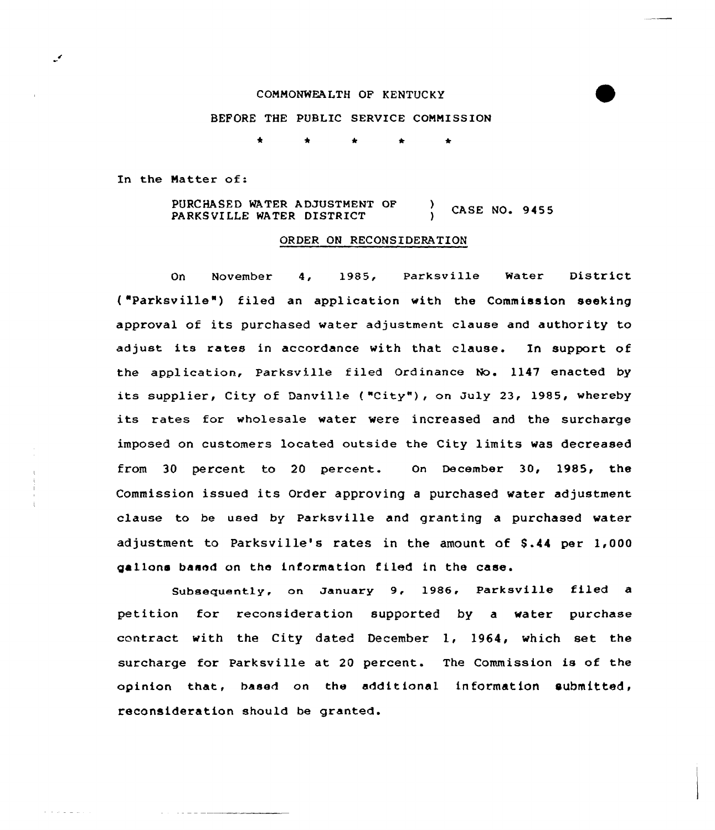#### COMMONWEALTH OF KENTUCKY

### BEFORE THE PUBLIC SERVICE COMMISSION

Ł.

In the Natter of:

and the property

PURCHASED WATER ADJUSTMENT OF CASE NO. 9455 PARKSVILLE WATER DISTRICT

#### ORDER ON RECONSIDERATION

On November 4, 1985, Parksville Water District ( "Parksville") filed an application with the Commission seeking approval of its purchased water adjustment clause and authority to adjust its rates in accordance with that clause. In support of the application, Parksville filed Ordinance No. 1147 enacted by its supplier, City of Danville ("City"), on July 23, 1985, whereby its rates for wholesale water were increased and the surcharge imposed on customers located outside the City limits was decreased from 30 percent to 20 percent. On December 30, 1985, the Commission issued its Order approving <sup>a</sup> purchased water adjustment clause to be used by Parksville and granting a purchased water adjustment to Parksville's rates in the amount of \$ .44 per 1,000 gallons based on the information filed in the case.

Subsequently, on January 9, 1986, Parksville filed a petition for reconsideration supported by a water purchase contract with the City dated December 1, 1964, which set the surcharge for Parksville at 20 percent. The Commission is of the opinion that, based on the additional information submitted, reconsideration should be granted.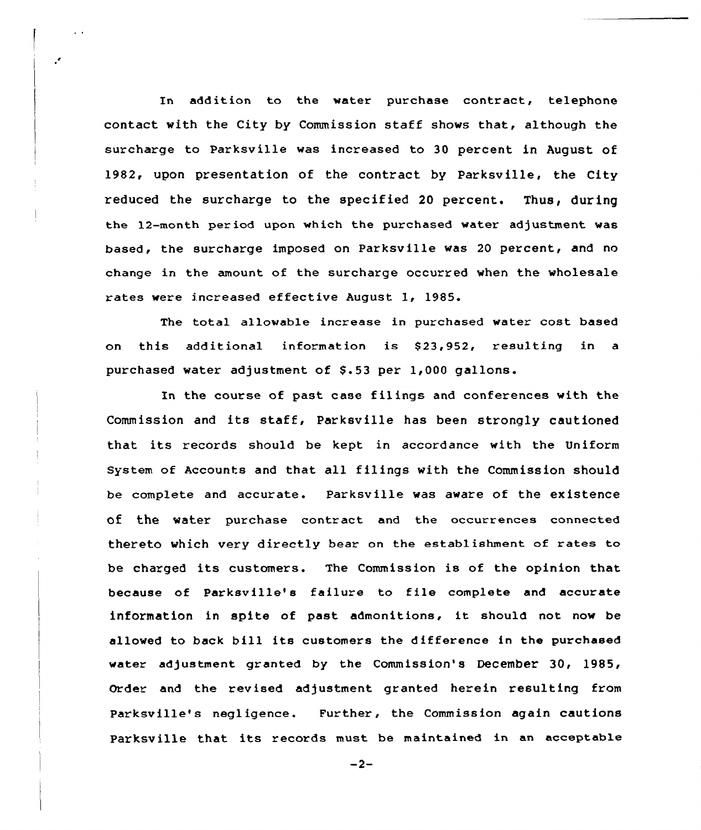In addition to the water purchase contract, telephone contact with the City by Commission staff shows that, although the surcharge to Parksville was increased to 30 percent in August of 1982, upon presentation of the contract by Parksville, the City reduced the surcharge to the specified 20 percent. Thus, during the 12-month period upon which the purchased water adjustment was based, the surcharge imposed on Parksville was 20 percent, and no change in the amount of the surcharge occurred when the wholesale rates were increased effective August 1, 1985.

The total allowable increase in purchased water cost based on this additional information is \$23,952, resulting in a purchased water adjustment of \$.53 per 1,000 gallons.

In the course of past case filings and conferences with the Commission and its staff, Parksville has been strongly cautioned that its records should be kept in accordance with the Uniform System of Accounts and that all filings with the Commission should be complete and accurate. Parksville was aware of the existence of the water purchase contract and the occurrences connected thereto which very directly bear on the establishment of rates to be charged its customers. The Commission is of the opinion that because of Parksville's failure to file complete and accurate information in spite of past admonitions, it should not now be allowed to back bill its customers the difference in the purchased water adjustment granted by the Commission's December 30, 1985, Order and the revised adjustment granted herein resulting from Parksville's negligence. Further, the Commission again cautions Parksville that its records must be maintained in an acceptable

 $-2-$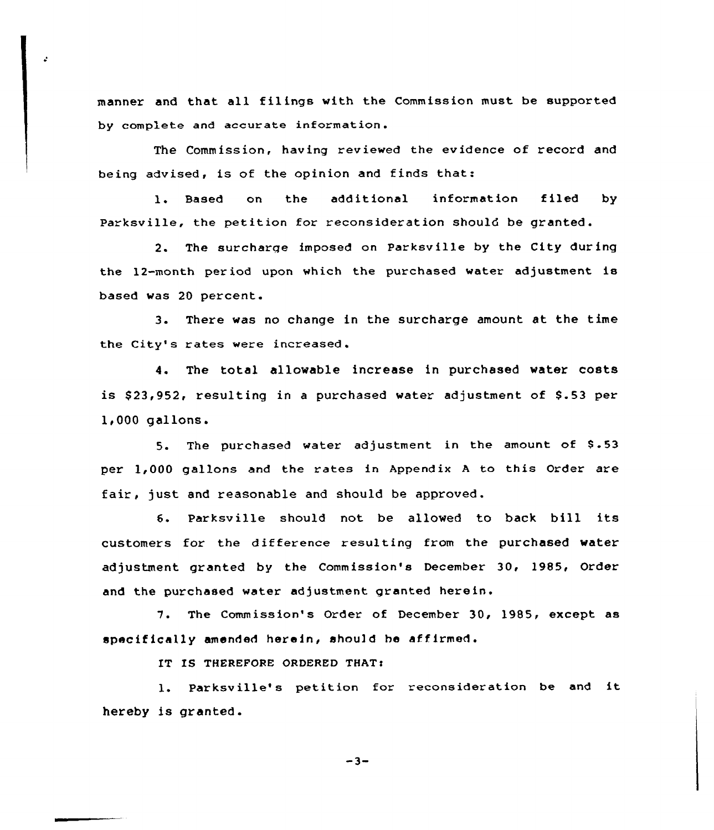manner and that all filings with the Commission must be supported by complete and accurate information.

The Commission, having reviewed the evidence of record and being advised, is of the opinion and finds that:

l. Based on the additional information filed by Parksville, the petition for reconsideration should be granted.

2. The surcharge imposed on Parksv ille by the City dur ing the 12-month period upon which the purchased water adjustment is based was 20 percent.

3. There was no change in the surcharge amount at the time the City's rates were increased.

4. The total allowable increase in purchased water costs is \$23,952, resulting in a purchased water adjustment of \$.53 per  $1,000$  gallons.

5. The purchased water adjustment in the amount of 8.53 per 1,000 gallons and the rates in Appendix <sup>A</sup> to this Order are fair, just and reasonable and should be approved.

S. Parksvi)le should not be allowed to back bill its customers for the difference resulting from the purchased water adjustment granted by the Commission's December 30, 1985, Order and the purchased water adjustment granted herein.

7. The Commission's Order of December 30, 1985, except as specifically amended herein, should be affirmed.

IT IS THEREFORE ORDERED THAT:

1. Parksville's petition for reconsideration be and it hereby is granted.

 $-3-$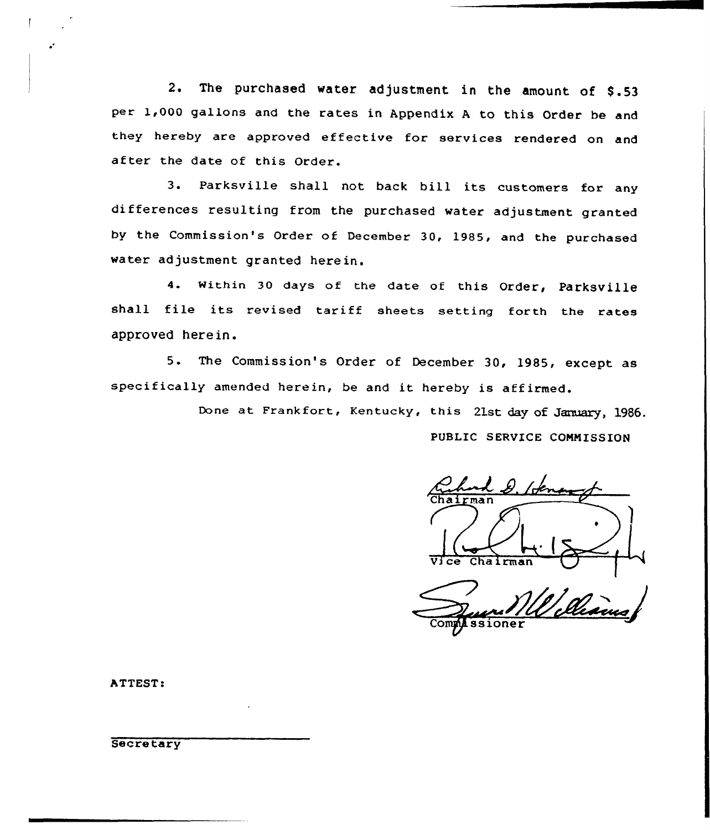2. The purchased water adjustment in the amount of \$.53 per 1,000 gallons and the rates in Appendix A to this Order be and they hereby are approved effective for services rendered on and after the date of this Order.

3. Parksville shall not back bill its customers for any differences resulting from the purchased water adjustment granted by the Commission's Order of December 30, 1985, and the purchased water adjustment granted herein.

4. Within 30 days of the date of this Order, Parksville shall file its revised tariff sheets setting forth the rates approved herein.

5. The Commission's Order of December 30, 1985, except as specifically amended herein, be and it hereby is affirmed.

> Done at Frankfort, Kentucky, this 21st day of January, 1986. PUBLIC SERVICE COMMISSION

Chairm

ssioner

ATTEST:

**Secretary**